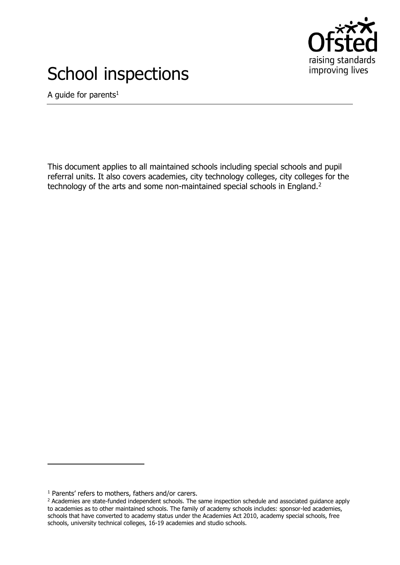

# School inspections

A guide for parents<sup>1</sup>

This document applies to all maintained schools including special schools and pupil referral units. It also covers academies, city technology colleges, city colleges for the technology of the arts and some non-maintained special schools in England.<sup>2</sup>

j

<sup>&</sup>lt;sup>1</sup> Parents' refers to mothers, fathers and/or carers.

<sup>&</sup>lt;sup>2</sup> Academies are state-funded independent schools. The same inspection schedule and associated guidance apply to academies as to other maintained schools. The family of academy schools includes: sponsor-led academies, schools that have converted to academy status under the Academies Act 2010, academy special schools, free schools, university technical colleges, 16-19 academies and studio schools.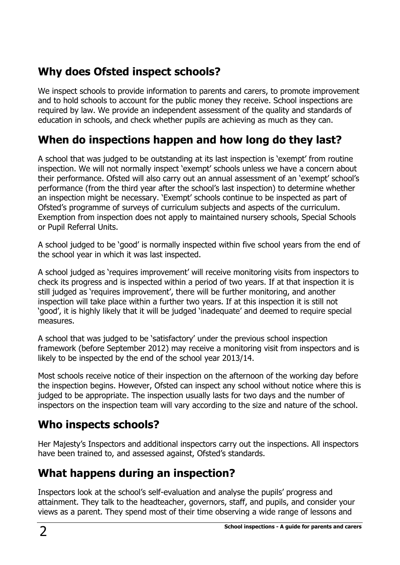# **Why does Ofsted inspect schools?**

We inspect schools to provide information to parents and carers, to promote improvement and to hold schools to account for the public money they receive. School inspections are required by law. We provide an independent assessment of the quality and standards of education in schools, and check whether pupils are achieving as much as they can.

# **When do inspections happen and how long do they last?**

A school that was judged to be outstanding at its last inspection is 'exempt' from routine inspection. We will not normally inspect 'exempt' schools unless we have a concern about their performance. Ofsted will also carry out an annual assessment of an 'exempt' school's performance (from the third year after the school's last inspection) to determine whether an inspection might be necessary. 'Exempt' schools continue to be inspected as part of Ofsted's programme of surveys of curriculum subjects and aspects of the curriculum. Exemption from inspection does not apply to maintained nursery schools, Special Schools or Pupil Referral Units.

A school judged to be 'good' is normally inspected within five school years from the end of the school year in which it was last inspected.

A school judged as 'requires improvement' will receive monitoring visits from inspectors to check its progress and is inspected within a period of two years. If at that inspection it is still judged as 'requires improvement', there will be further monitoring, and another inspection will take place within a further two years. If at this inspection it is still not 'good', it is highly likely that it will be judged 'inadequate' and deemed to require special measures.

A school that was judged to be 'satisfactory' under the previous school inspection framework (before September 2012) may receive a monitoring visit from inspectors and is likely to be inspected by the end of the school year 2013/14.

Most schools receive notice of their inspection on the afternoon of the working day before the inspection begins. However, Ofsted can inspect any school without notice where this is judged to be appropriate. The inspection usually lasts for two days and the number of inspectors on the inspection team will vary according to the size and nature of the school.

## **Who inspects schools?**

Her Majesty's Inspectors and additional inspectors carry out the inspections. All inspectors have been trained to, and assessed against, Ofsted's standards.

# **What happens during an inspection?**

Inspectors look at the school's self-evaluation and analyse the pupils' progress and attainment. They talk to the headteacher, governors, staff, and pupils, and consider your views as a parent. They spend most of their time observing a wide range of lessons and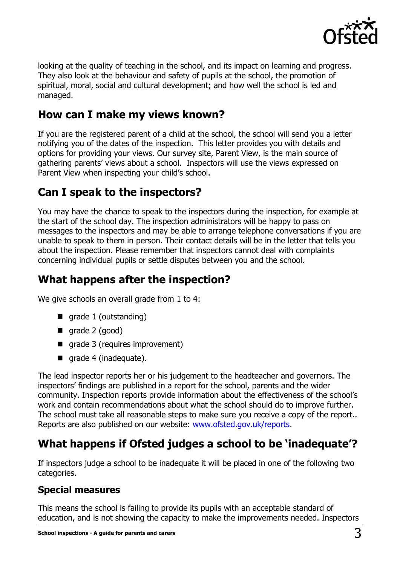

looking at the quality of teaching in the school, and its impact on learning and progress. They also look at the behaviour and safety of pupils at the school, the promotion of spiritual, moral, social and cultural development; and how well the school is led and managed.

#### **How can I make my views known?**

If you are the registered parent of a child at the school, the school will send you a letter notifying you of the dates of the inspection. This letter provides you with details and options for providing your views. Our survey site, Parent View, is the main source of gathering parents' views about a school. Inspectors will use the views expressed on Parent View when inspecting your child's school.

#### **Can I speak to the inspectors?**

You may have the chance to speak to the inspectors during the inspection, for example at the start of the school day. The inspection administrators will be happy to pass on messages to the inspectors and may be able to arrange telephone conversations if you are unable to speak to them in person. Their contact details will be in the letter that tells you about the inspection. Please remember that inspectors cannot deal with complaints concerning individual pupils or settle disputes between you and the school.

## **What happens after the inspection?**

We give schools an overall grade from 1 to 4:

- qrade 1 (outstanding)
- qrade  $2$  (good)
- qrade 3 (requires improvement)
- qrade 4 (inadequate).

The lead inspector reports her or his judgement to the headteacher and governors. The inspectors' findings are published in a report for the school, parents and the wider community. Inspection reports provide information about the effectiveness of the school's work and contain recommendations about what the school should do to improve further. The school must take all reasonable steps to make sure you receive a copy of the report.. Reports are also published on our website: [www.ofsted.gov.uk/reports.](http://www.ofsted.gov.uk/reports)

# **What happens if Ofsted judges a school to be 'inadequate'?**

If inspectors judge a school to be inadequate it will be placed in one of the following two categories.

#### **Special measures**

This means the school is failing to provide its pupils with an acceptable standard of education, and is not showing the capacity to make the improvements needed. Inspectors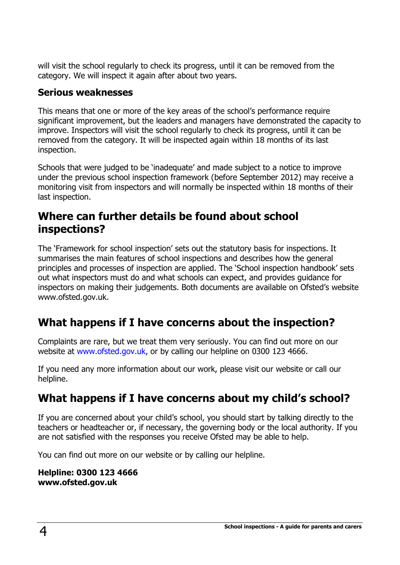will visit the school regularly to check its progress, until it can be removed from the category. We will inspect it again after about two years.

#### **Serious weaknesses**

This means that one or more of the key areas of the school's performance require significant improvement, but the leaders and managers have demonstrated the capacity to improve. Inspectors will visit the school regularly to check its progress, until it can be removed from the category. It will be inspected again within 18 months of its last inspection.

Schools that were judged to be 'inadequate' and made subject to a notice to improve under the previous school inspection framework (before September 2012) may receive a monitoring visit from inspectors and will normally be inspected within 18 months of their last inspection.

#### **Where can further details be found about school inspections?**

The 'Framework for school inspection' sets out the statutory basis for inspections. It summarises the main features of school inspections and describes how the general principles and processes of inspection are applied. The 'School inspection handbook' sets out what inspectors must do and what schools can expect, and provides guidance for inspectors on making their judgements. Both documents are available on Ofsted's website www.ofsted.gov.uk.

# **What happens if I have concerns about the inspection?**

Complaints are rare, but we treat them very seriously. You can find out more on our website at [www.ofsted.gov.uk,](http://www.ofsted.gov.uk/) or by calling our helpline on 0300 123 4666.

If you need any more information about our work, please visit our website or call our helpline.

# **What happens if I have concerns about my child's school?**

If you are concerned about your child's school, you should start by talking directly to the teachers or headteacher or, if necessary, the governing body or the local authority. If you are not satisfied with the responses you receive Ofsted may be able to help.

You can find out more on our website or by calling our helpline.

**Helpline: 0300 123 4666 www.ofsted.gov.uk**